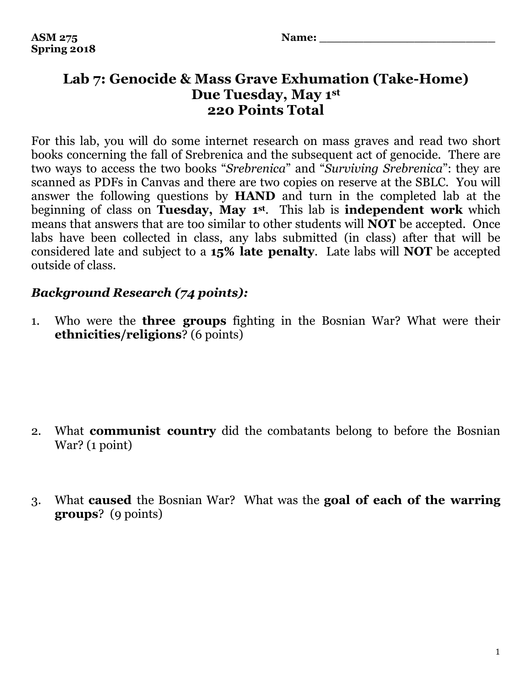## **Lab 7: Genocide & Mass Grave Exhumation (Take-Home) Due Tuesday, May 1st 220 Points Total**

For this lab, you will do some internet research on mass graves and read two short books concerning the fall of Srebrenica and the subsequent act of genocide. There are two ways to access the two books "*Srebrenica*" and "*Surviving Srebrenica*": they are scanned as PDFs in Canvas and there are two copies on reserve at the SBLC. You will answer the following questions by **HAND** and turn in the completed lab at the beginning of class on **Tuesday, May 1st**. This lab is **independent work** which means that answers that are too similar to other students will **NOT** be accepted. Once labs have been collected in class, any labs submitted (in class) after that will be considered late and subject to a **15% late penalty**. Late labs will **NOT** be accepted outside of class.

## *Background Research (74 points):*

1. Who were the **three groups** fighting in the Bosnian War? What were their **ethnicities/religions**? (6 points)

- 2. What **communist country** did the combatants belong to before the Bosnian War? (1 point)
- 3. What **caused** the Bosnian War? What was the **goal of each of the warring groups**? (9 points)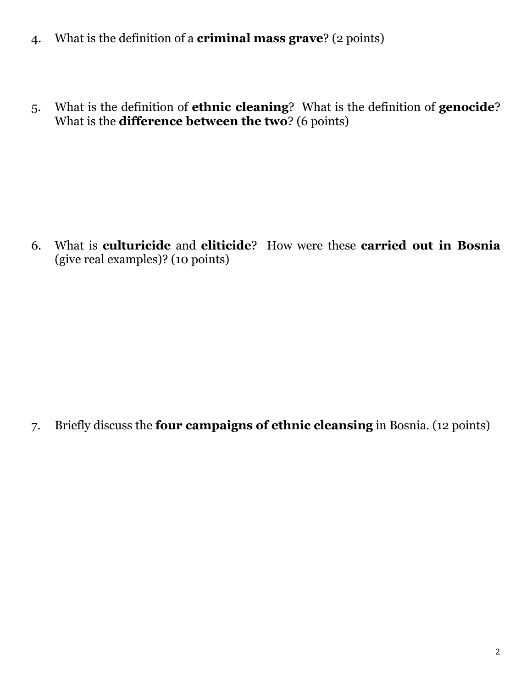- 4. What is the definition of a **criminal mass grave**? (2 points)
- 5. What is the definition of **ethnic cleaning**? What is the definition of **genocide**? What is the **difference between the two**? (6 points)

6. What is **culturicide** and **eliticide**? How were these **carried out in Bosnia** (give real examples)? (10 points)

7. Briefly discuss the **four campaigns of ethnic cleansing** in Bosnia. (12 points)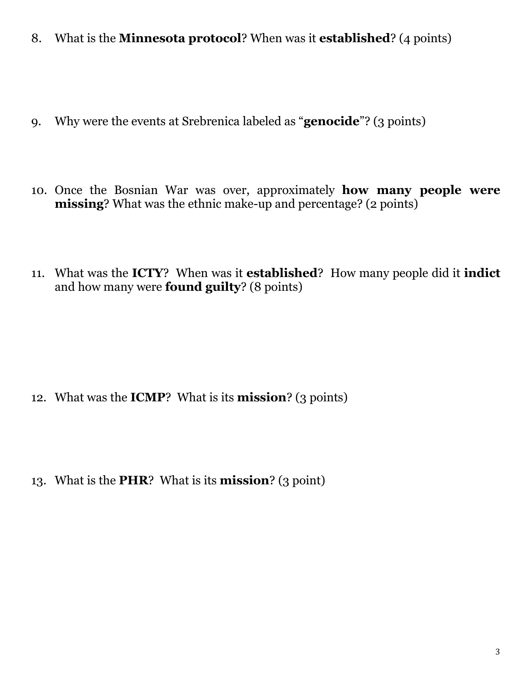- 8. What is the **Minnesota protocol**? When was it **established**? (4 points)
- 9. Why were the events at Srebrenica labeled as "**genocide**"? (3 points)
- 10. Once the Bosnian War was over, approximately **how many people were missing**? What was the ethnic make-up and percentage? (2 points)
- 11. What was the **ICTY**? When was it **established**? How many people did it **indict** and how many were **found guilty**? (8 points)

- 12. What was the **ICMP**? What is its **mission**? (3 points)
- 13. What is the **PHR**? What is its **mission**? (3 point)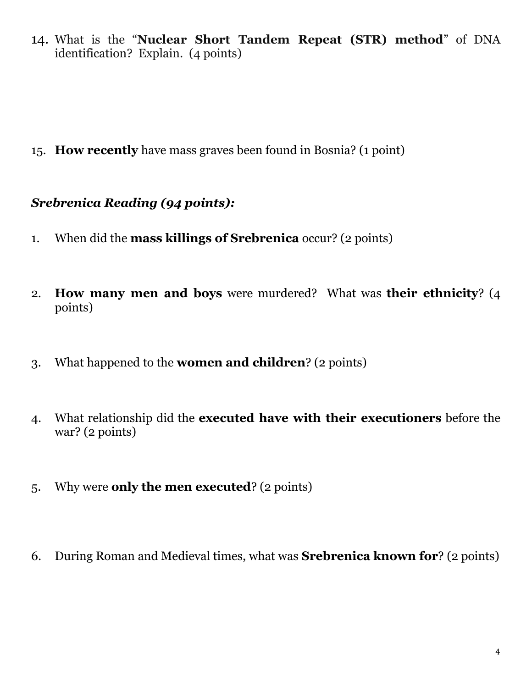14. What is the "**Nuclear Short Tandem Repeat (STR) method**" of DNA identification? Explain. (4 points)

15. **How recently** have mass graves been found in Bosnia? (1 point)

## *Srebrenica Reading (94 points):*

- 1. When did the **mass killings of Srebrenica** occur? (2 points)
- 2. **How many men and boys** were murdered? What was **their ethnicity**? (4 points)
- 3. What happened to the **women and children**? (2 points)
- 4. What relationship did the **executed have with their executioners** before the war? (2 points)
- 5. Why were **only the men executed**? (2 points)
- 6. During Roman and Medieval times, what was **Srebrenica known for**? (2 points)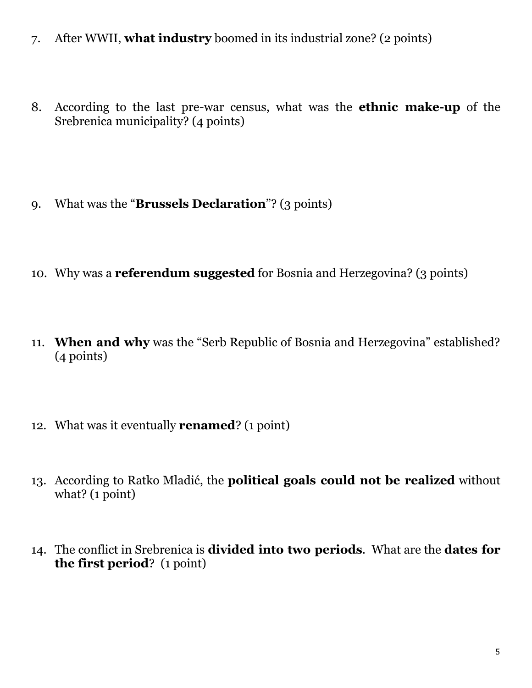- 7. After WWII, **what industry** boomed in its industrial zone? (2 points)
- 8. According to the last pre-war census, what was the **ethnic make-up** of the Srebrenica municipality? (4 points)
- 9. What was the "**Brussels Declaration**"? (3 points)
- 10. Why was a **referendum suggested** for Bosnia and Herzegovina? (3 points)
- 11. **When and why** was the "Serb Republic of Bosnia and Herzegovina" established? (4 points)
- 12. What was it eventually **renamed**? (1 point)
- 13. According to Ratko Mladić, the **political goals could not be realized** without what? (1 point)
- 14. The conflict in Srebrenica is **divided into two periods**. What are the **dates for the first period**? (1 point)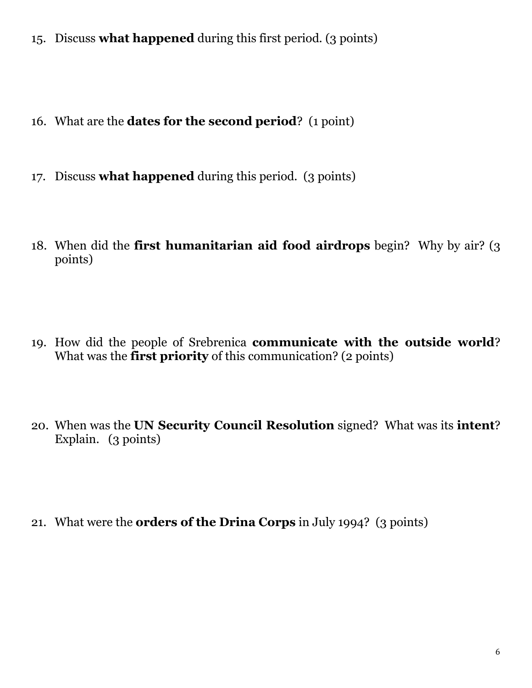- 15. Discuss **what happened** during this first period. (3 points)
- 16. What are the **dates for the second period**? (1 point)
- 17. Discuss **what happened** during this period. (3 points)
- 18. When did the **first humanitarian aid food airdrops** begin? Why by air? (3 points)
- 19. How did the people of Srebrenica **communicate with the outside world**? What was the **first priority** of this communication? (2 points)
- 20. When was the **UN Security Council Resolution** signed? What was its **intent**? Explain. (3 points)
- 21. What were the **orders of the Drina Corps** in July 1994? (3 points)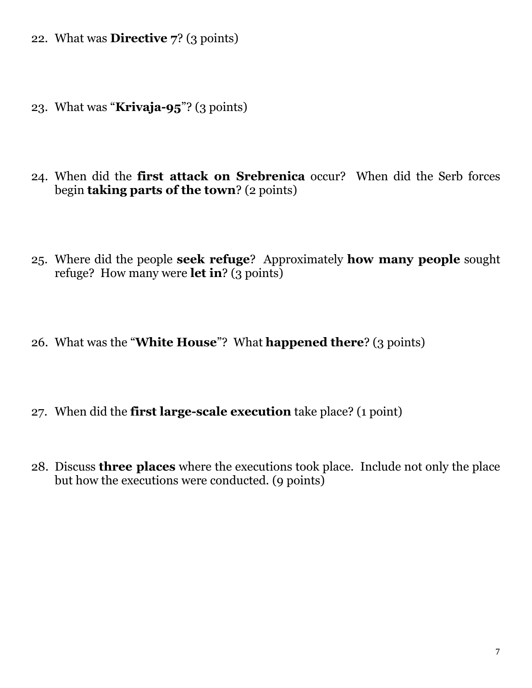- 22. What was **Directive 7**? (3 points)
- 23. What was "**Krivaja-95**"? (3 points)
- 24. When did the **first attack on Srebrenica** occur? When did the Serb forces begin **taking parts of the town**? (2 points)
- 25. Where did the people **seek refuge**? Approximately **how many people** sought refuge? How many were **let in**? (3 points)
- 26. What was the "**White House**"? What **happened there**? (3 points)
- 27. When did the **first large-scale execution** take place? (1 point)
- 28. Discuss **three places** where the executions took place. Include not only the place but how the executions were conducted. (9 points)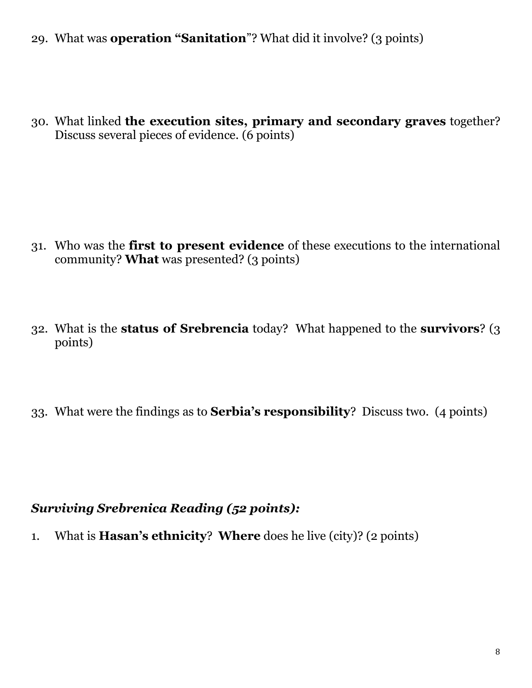29. What was **operation "Sanitation**"? What did it involve? (3 points)

30. What linked **the execution sites, primary and secondary graves** together? Discuss several pieces of evidence. (6 points)

- 31. Who was the **first to present evidence** of these executions to the international community? **What** was presented? (3 points)
- 32. What is the **status of Srebrencia** today? What happened to the **survivors**? (3 points)
- 33. What were the findings as to **Serbia's responsibility**? Discuss two. (4 points)

## *Surviving Srebrenica Reading (52 points):*

1. What is **Hasan's ethnicity**? **Where** does he live (city)? (2 points)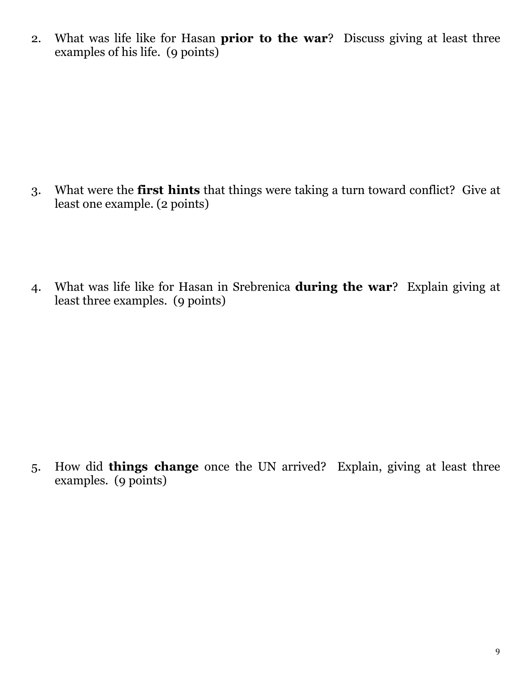2. What was life like for Hasan **prior to the war**? Discuss giving at least three examples of his life. (9 points)

- 3. What were the **first hints** that things were taking a turn toward conflict? Give at least one example. (2 points)
- 4. What was life like for Hasan in Srebrenica **during the war**? Explain giving at least three examples. (9 points)

5. How did **things change** once the UN arrived? Explain, giving at least three examples. (9 points)